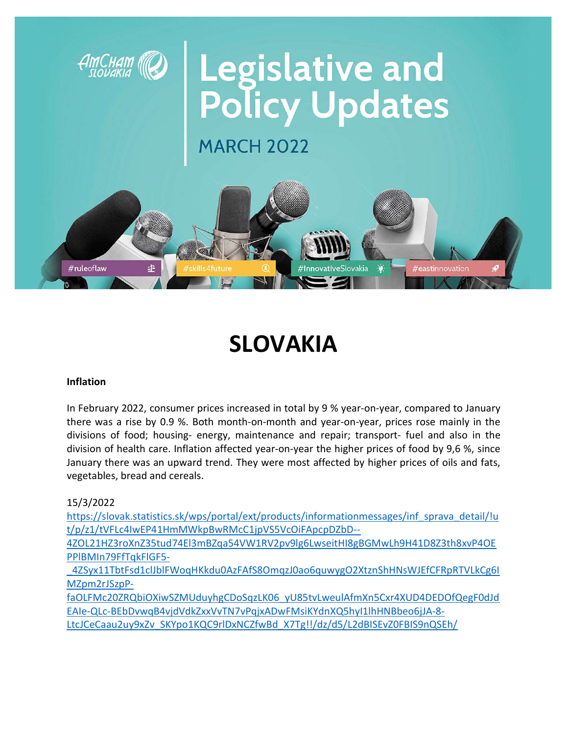

# SLOVAKIA

#### Inflation

In February 2022, consumer prices increased in total by 9 % year-on-year, compared to January there was a rise by 0.9 %. Both month-on-month and year-on-year, prices rose mainly in the divisions of food; housing- energy, maintenance and repair; transport- fuel and also in the division of health care. Inflation affected year-on-year the higher prices of food by 9,6 %, since January there was an upward trend. They were most affected by higher prices of oils and fats, vegetables, bread and cereals.

15/3/2022

https://slovak.statistics.sk/wps/portal/ext/products/informationmessages/inf\_sprava\_detail/!u t/p/z1/tVFLc4IwEP41HmMWkpBwRMcC1jpVS5VcOiFApcpDZbD--

4ZOL21HZ3roXnZ35tud74El3mBZqa54VW1RV2pv9lg6LwseitHI8gBGMwLh9H41D8Z3th8xvP4OE PPlBMIn79FfTqkFlGF5-

\_4ZSyx11TbtFsd1clJblFWoqHKkdu0AzFAfS8OmqzJ0ao6quwygO2XtznShHNsWJEfCFRpRTVLkCg6I MZpm2rJSzpP-

faOLFMc20ZRQbiOXiwSZMUduyhgCDoSqzLK06\_yU85tvLweulAfmXn5Cxr4XUD4DEDOfQegF0dJd EAIe-QLc-BEbDvwqB4vjdVdkZxxVvTN7vPqjxADwFMsiKYdnXQ5hyI1lhHNBbeo6jJA-8- LtcJCeCaau2uy9xZv\_SKYpo1KQC9rlDxNCZfwBd\_X7Tg!!/dz/d5/L2dBISEvZ0FBIS9nQSEh/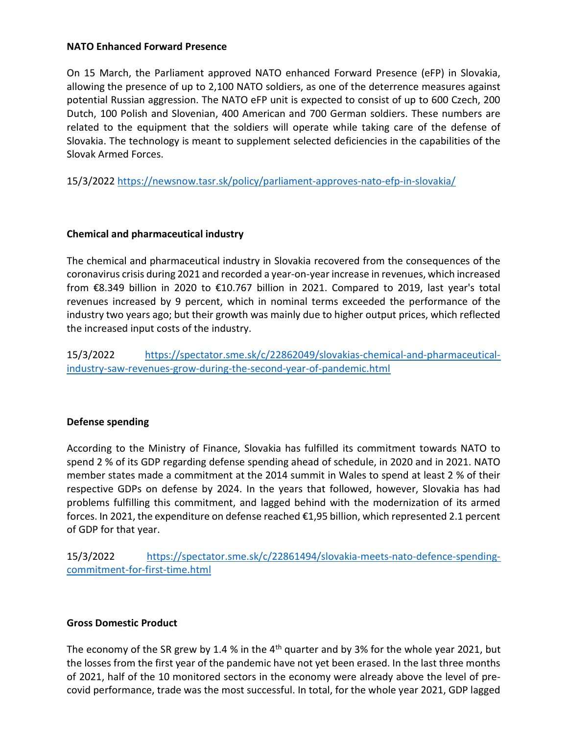#### NATO Enhanced Forward Presence

On 15 March, the Parliament approved NATO enhanced Forward Presence (eFP) in Slovakia, allowing the presence of up to 2,100 NATO soldiers, as one of the deterrence measures against potential Russian aggression. The NATO eFP unit is expected to consist of up to 600 Czech, 200 Dutch, 100 Polish and Slovenian, 400 American and 700 German soldiers. These numbers are related to the equipment that the soldiers will operate while taking care of the defense of Slovakia. The technology is meant to supplement selected deficiencies in the capabilities of the Slovak Armed Forces.

15/3/2022 https://newsnow.tasr.sk/policy/parliament-approves-nato-efp-in-slovakia/

#### Chemical and pharmaceutical industry

The chemical and pharmaceutical industry in Slovakia recovered from the consequences of the coronavirus crisis during 2021 and recorded a year-on-year increase in revenues, which increased from €8.349 billion in 2020 to €10.767 billion in 2021. Compared to 2019, last year's total revenues increased by 9 percent, which in nominal terms exceeded the performance of the industry two years ago; but their growth was mainly due to higher output prices, which reflected the increased input costs of the industry.

15/3/2022 https://spectator.sme.sk/c/22862049/slovakias-chemical-and-pharmaceuticalindustry-saw-revenues-grow-during-the-second-year-of-pandemic.html

#### Defense spending

According to the Ministry of Finance, Slovakia has fulfilled its commitment towards NATO to spend 2 % of its GDP regarding defense spending ahead of schedule, in 2020 and in 2021. NATO member states made a commitment at the 2014 summit in Wales to spend at least 2 % of their respective GDPs on defense by 2024. In the years that followed, however, Slovakia has had problems fulfilling this commitment, and lagged behind with the modernization of its armed forces. In 2021, the expenditure on defense reached €1,95 billion, which represented 2.1 percent of GDP for that year.

15/3/2022 https://spectator.sme.sk/c/22861494/slovakia-meets-nato-defence-spendingcommitment-for-first-time.html

#### Gross Domestic Product

The economy of the SR grew by 1.4 % in the  $4<sup>th</sup>$  quarter and by 3% for the whole year 2021, but the losses from the first year of the pandemic have not yet been erased. In the last three months of 2021, half of the 10 monitored sectors in the economy were already above the level of precovid performance, trade was the most successful. In total, for the whole year 2021, GDP lagged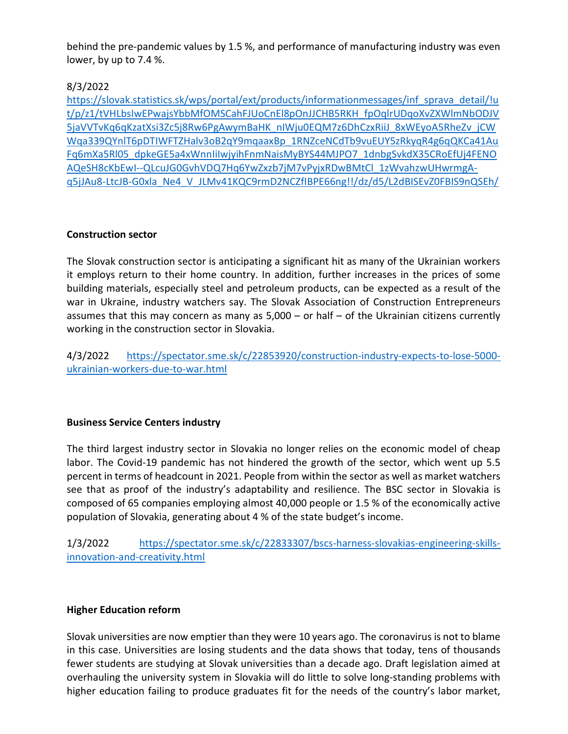behind the pre-pandemic values by 1.5 %, and performance of manufacturing industry was even lower, by up to 7.4 %.

## 8/3/2022

https://slovak.statistics.sk/wps/portal/ext/products/informationmessages/inf\_sprava\_detail/!u t/p/z1/tVHLbsIwEPwajsYbbMfOMSCahFJUoCnEl8pOnJJCHB5RKH\_fpOqlrUDqoXvZXWlmNbODJV 5jaVVTvKq6qKzatXsi3Zc5j8Rw6PgAwymBaHK\_nIWju0EQM7z6DhCzxRiiJ\_8xWEyoA5RheZv\_jCW Wqa339QYnlT6pDTIWFTZHalv3oB2qY9mqaaxBp\_1RNZceNCdTb9vuEUY5zRkyqR4g6qQKCa41Au Fq6mXa5Rl05\_dpkeGE5a4xWnnIiIwjyihFnmNaisMyBYS44MJPO7\_1dnbgSvkdX35CRoEfUj4FENO AQeSH8cKbEwI--QLcuJG0GvhVDQ7Hq6YwZxzb7jM7vPyjxRDwBMtCl\_1zWvahzwUHwrmgAq5jJAu8-LtcJB-G0xla\_Ne4\_V\_JLMv41KQC9rmD2NCZfIBPE66ng!!/dz/d5/L2dBISEvZ0FBIS9nQSEh/

## Construction sector

The Slovak construction sector is anticipating a significant hit as many of the Ukrainian workers it employs return to their home country. In addition, further increases in the prices of some building materials, especially steel and petroleum products, can be expected as a result of the war in Ukraine, industry watchers say. The Slovak Association of Construction Entrepreneurs assumes that this may concern as many as 5,000 – or half – of the Ukrainian citizens currently working in the construction sector in Slovakia.

4/3/2022 https://spectator.sme.sk/c/22853920/construction-industry-expects-to-lose-5000 ukrainian-workers-due-to-war.html

## Business Service Centers industry

The third largest industry sector in Slovakia no longer relies on the economic model of cheap labor. The Covid-19 pandemic has not hindered the growth of the sector, which went up 5.5 percent in terms of headcount in 2021. People from within the sector as well as market watchers see that as proof of the industry's adaptability and resilience. The BSC sector in Slovakia is composed of 65 companies employing almost 40,000 people or 1.5 % of the economically active population of Slovakia, generating about 4 % of the state budget's income.

1/3/2022 https://spectator.sme.sk/c/22833307/bscs-harness-slovakias-engineering-skillsinnovation-and-creativity.html

## Higher Education reform

Slovak universities are now emptier than they were 10 years ago. The coronavirus is not to blame in this case. Universities are losing students and the data shows that today, tens of thousands fewer students are studying at Slovak universities than a decade ago. Draft legislation aimed at overhauling the university system in Slovakia will do little to solve long-standing problems with higher education failing to produce graduates fit for the needs of the country's labor market,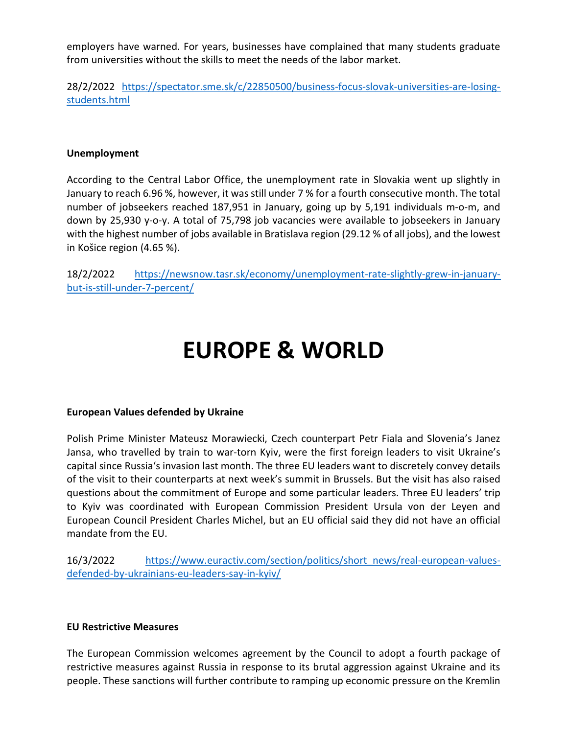employers have warned. For years, businesses have complained that many students graduate from universities without the skills to meet the needs of the labor market.

28/2/2022 https://spectator.sme.sk/c/22850500/business-focus-slovak-universities-are-losingstudents.html

#### Unemployment

According to the Central Labor Office, the unemployment rate in Slovakia went up slightly in January to reach 6.96 %, however, it was still under 7 % for a fourth consecutive month. The total number of jobseekers reached 187,951 in January, going up by 5,191 individuals m-o-m, and down by 25,930 y-o-y. A total of 75,798 job vacancies were available to jobseekers in January with the highest number of jobs available in Bratislava region (29.12 % of all jobs), and the lowest in Košice region (4.65 %).

18/2/2022 https://newsnow.tasr.sk/economy/unemployment-rate-slightly-grew-in-januarybut-is-still-under-7-percent/

## EUROPE & WORLD

#### European Values defended by Ukraine

Polish Prime Minister Mateusz Morawiecki, Czech counterpart Petr Fiala and Slovenia's Janez Jansa, who travelled by train to war-torn Kyiv, were the first foreign leaders to visit Ukraine's capital since Russia's invasion last month. The three EU leaders want to discretely convey details of the visit to their counterparts at next week's summit in Brussels. But the visit has also raised questions about the commitment of Europe and some particular leaders. Three EU leaders' trip to Kyiv was coordinated with European Commission President Ursula von der Leyen and European Council President Charles Michel, but an EU official said they did not have an official mandate from the EU.

16/3/2022 https://www.euractiv.com/section/politics/short\_news/real-european-valuesdefended-by-ukrainians-eu-leaders-say-in-kyiv/

#### EU Restrictive Measures

The European Commission welcomes agreement by the Council to adopt a fourth package of restrictive measures against Russia in response to its brutal aggression against Ukraine and its people. These sanctions will further contribute to ramping up economic pressure on the Kremlin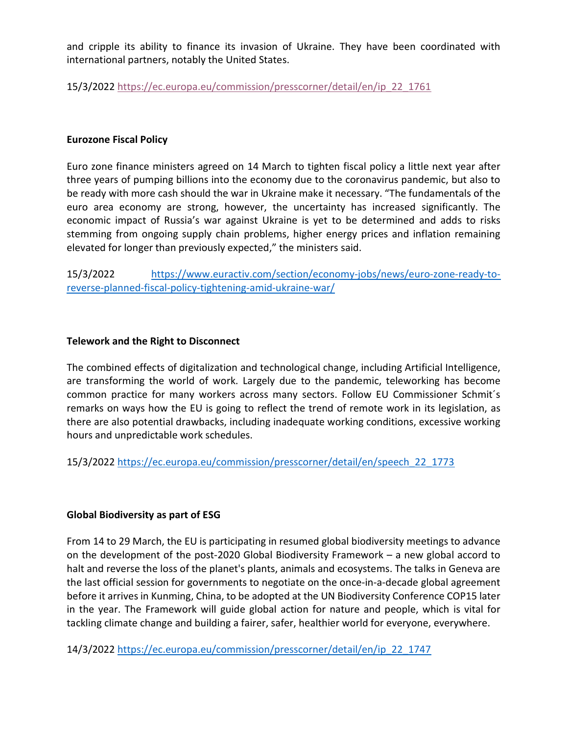and cripple its ability to finance its invasion of Ukraine. They have been coordinated with international partners, notably the United States.

15/3/2022 https://ec.europa.eu/commission/presscorner/detail/en/ip\_22\_1761

### Eurozone Fiscal Policy

Euro zone finance ministers agreed on 14 March to tighten fiscal policy a little next year after three years of pumping billions into the economy due to the coronavirus pandemic, but also to be ready with more cash should the war in Ukraine make it necessary. "The fundamentals of the euro area economy are strong, however, the uncertainty has increased significantly. The economic impact of Russia's war against Ukraine is yet to be determined and adds to risks stemming from ongoing supply chain problems, higher energy prices and inflation remaining elevated for longer than previously expected," the ministers said.

15/3/2022 https://www.euractiv.com/section/economy-jobs/news/euro-zone-ready-toreverse-planned-fiscal-policy-tightening-amid-ukraine-war/

#### Telework and the Right to Disconnect

The combined effects of digitalization and technological change, including Artificial Intelligence, are transforming the world of work. Largely due to the pandemic, teleworking has become common practice for many workers across many sectors. Follow EU Commissioner Schmit´s remarks on ways how the EU is going to reflect the trend of remote work in its legislation, as there are also potential drawbacks, including inadequate working conditions, excessive working hours and unpredictable work schedules.

15/3/2022 https://ec.europa.eu/commission/presscorner/detail/en/speech\_22\_1773

## Global Biodiversity as part of ESG

From 14 to 29 March, the EU is participating in resumed global biodiversity meetings to advance on the development of the post-2020 Global Biodiversity Framework – a new global accord to halt and reverse the loss of the planet's plants, animals and ecosystems. The talks in Geneva are the last official session for governments to negotiate on the once-in-a-decade global agreement before it arrives in Kunming, China, to be adopted at the UN Biodiversity Conference COP15 later in the year. The Framework will guide global action for nature and people, which is vital for tackling climate change and building a fairer, safer, healthier world for everyone, everywhere.

14/3/2022 https://ec.europa.eu/commission/presscorner/detail/en/ip\_22\_1747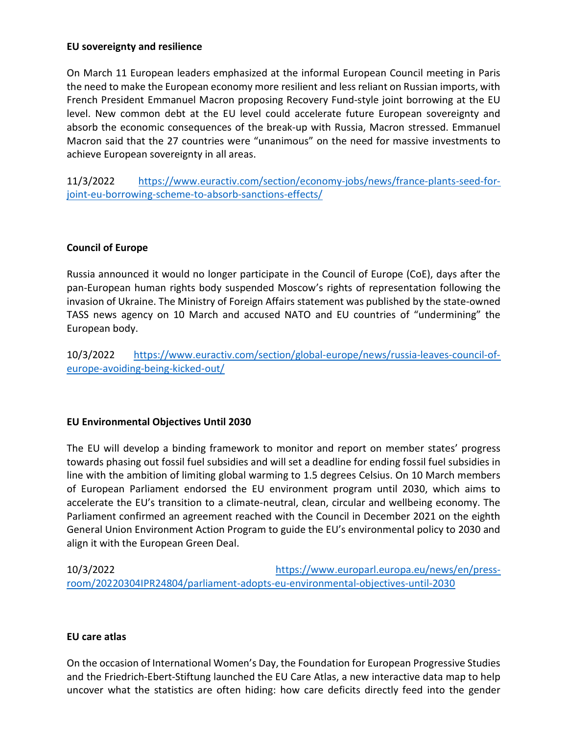#### EU sovereignty and resilience

On March 11 European leaders emphasized at the informal European Council meeting in Paris the need to make the European economy more resilient and less reliant on Russian imports, with French President Emmanuel Macron proposing Recovery Fund-style joint borrowing at the EU level. New common debt at the EU level could accelerate future European sovereignty and absorb the economic consequences of the break-up with Russia, Macron stressed. Emmanuel Macron said that the 27 countries were "unanimous" on the need for massive investments to achieve European sovereignty in all areas.

11/3/2022 https://www.euractiv.com/section/economy-jobs/news/france-plants-seed-forjoint-eu-borrowing-scheme-to-absorb-sanctions-effects/

## Council of Europe

Russia announced it would no longer participate in the Council of Europe (CoE), days after the pan-European human rights body suspended Moscow's rights of representation following the invasion of Ukraine. The Ministry of Foreign Affairs statement was published by the state-owned TASS news agency on 10 March and accused NATO and EU countries of "undermining" the European body.

10/3/2022 https://www.euractiv.com/section/global-europe/news/russia-leaves-council-ofeurope-avoiding-being-kicked-out/

## EU Environmental Objectives Until 2030

The EU will develop a binding framework to monitor and report on member states' progress towards phasing out fossil fuel subsidies and will set a deadline for ending fossil fuel subsidies in line with the ambition of limiting global warming to 1.5 degrees Celsius. On 10 March members of European Parliament endorsed the EU environment program until 2030, which aims to accelerate the EU's transition to a climate-neutral, clean, circular and wellbeing economy. The Parliament confirmed an agreement reached with the Council in December 2021 on the eighth General Union Environment Action Program to guide the EU's environmental policy to 2030 and align it with the European Green Deal.

10/3/2022 https://www.europarl.europa.eu/news/en/pressroom/20220304IPR24804/parliament-adopts-eu-environmental-objectives-until-2030

## EU care atlas

On the occasion of International Women's Day, the Foundation for European Progressive Studies and the Friedrich-Ebert-Stiftung launched the EU Care Atlas, a new interactive data map to help uncover what the statistics are often hiding: how care deficits directly feed into the gender